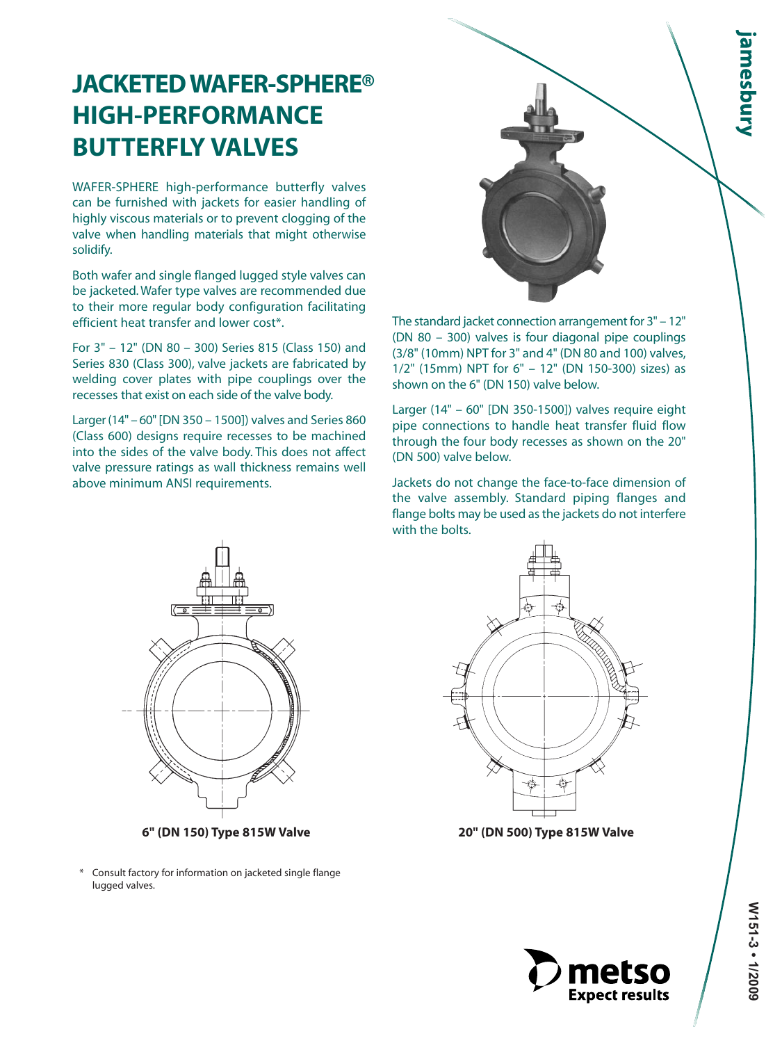## **JACKETED WAFER-SPHERE® HIGH-PERFORMANCE BUTTERFLY VALVES**

WAFER-SPHERE high-performance butterfly valves can be furnished with jackets for easier handling of highly viscous materials or to prevent clogging of the valve when handling materials that might otherwise solidify.

Both wafer and single flanged lugged style valves can be jacketed. Wafer type valves are recommended due to their more regular body configuration facilitating efficient heat transfer and lower cost\*.

For 3" – 12" (DN 80 – 300) Series 815 (Class 150) and Series 830 (Class 300), valve jackets are fabricated by welding cover plates with pipe couplings over the recesses that exist on each side of the valve body.

Larger (14" – 60" [DN 350 – 1500]) valves and Series 860 (Class 600) designs require recesses to be machined into the sides of the valve body. This does not affect valve pressure ratings as wall thickness remains well above minimum ANSI requirements.



The standard jacket connection arrangement for 3" – 12" (DN 80 – 300) valves is four diagonal pipe couplings (3/8" (10mm) NPT for 3" and 4" (DN 80 and 100) valves, 1/2" (15mm) NPT for 6" – 12" (DN 150-300) sizes) as shown on the 6" (DN 150) valve below.

Larger (14" – 60" [DN 350-1500]) valves require eight pipe connections to handle heat transfer fluid flow through the four body recesses as shown on the 20" (DN 500) valve below.

Jackets do not change the face-to-face dimension of the valve assembly. Standard piping flanges and flange bolts may be used as the jackets do not interfere with the bolts.



**6" (DN 150) Type 815W Valve 20" (DN 500) Type 815W Valve**

Consult factory for information on jacketed single flange lugged valves.